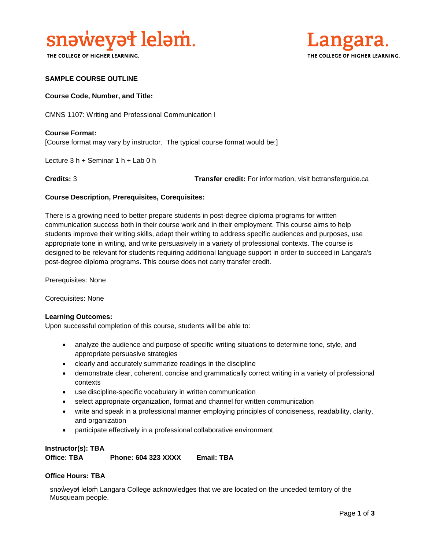

THE COLLEGE OF HIGHER LEARNING.



### **SAMPLE COURSE OUTLINE**

### **Course Code, Number, and Title:**

CMNS 1107: Writing and Professional Communication I

**Course Format:** [Course format may vary by instructor. The typical course format would be:]

Lecture 3 h + Seminar 1 h + Lab 0 h

**Credits:** 3 **Transfer credit:** For information, visit bctransferguide.ca

### **Course Description, Prerequisites, Corequisites:**

There is a growing need to better prepare students in post-degree diploma programs for written communication success both in their course work and in their employment. This course aims to help students improve their writing skills, adapt their writing to address specific audiences and purposes, use appropriate tone in writing, and write persuasively in a variety of professional contexts. The course is designed to be relevant for students requiring additional language support in order to succeed in Langara's post-degree diploma programs. This course does not carry transfer credit.

Prerequisites: None

Corequisites: None

### **Learning Outcomes:**

Upon successful completion of this course, students will be able to:

- analyze the audience and purpose of specific writing situations to determine tone, style, and appropriate persuasive strategies
- clearly and accurately summarize readings in the discipline
- demonstrate clear, coherent, concise and grammatically correct writing in a variety of professional contexts
- use discipline-specific vocabulary in written communication
- select appropriate organization, format and channel for written communication
- write and speak in a professional manner employing principles of conciseness, readability, clarity, and organization
- participate effectively in a professional collaborative environment

### **Instructor(s): TBA**

**Office: TBA Phone: 604 323 XXXX Email: TBA**

### **Office Hours: TBA**

snəweyał leləm Langara College acknowledges that we are located on the unceded territory of the Musqueam people.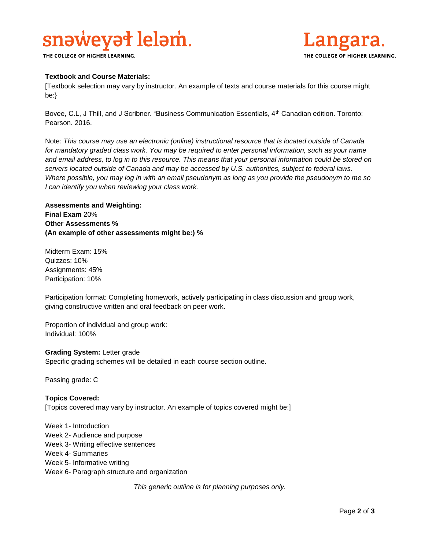# snaweyat lelam.

THE COLLEGE OF HIGHER LEARNING.



### **Textbook and Course Materials:**

[Textbook selection may vary by instructor. An example of texts and course materials for this course might be:}

Bovee, C.L, J Thill, and J Scribner. "Business Communication Essentials, 4<sup>th</sup> Canadian edition. Toronto: Pearson. 2016.

Note: *This course may use an electronic (online) instructional resource that is located outside of Canada*  for mandatory graded class work. You may be required to enter personal information, such as your name *and email address, to log in to this resource. This means that your personal information could be stored on servers located outside of Canada and may be accessed by U.S. authorities, subject to federal laws. Where possible, you may log in with an email pseudonym as long as you provide the pseudonym to me so I can identify you when reviewing your class work.* 

**Assessments and Weighting: Final Exam** 20% **Other Assessments % (An example of other assessments might be:) %**

Midterm Exam: 15% Quizzes: 10% Assignments: 45% Participation: 10%

Participation format: Completing homework, actively participating in class discussion and group work, giving constructive written and oral feedback on peer work.

Proportion of individual and group work: Individual: 100%

### **Grading System:** Letter grade

Specific grading schemes will be detailed in each course section outline.

Passing grade: C

### **Topics Covered:**

[Topics covered may vary by instructor. An example of topics covered might be:]

Week 1- Introduction Week 2- Audience and purpose Week 3- Writing effective sentences Week 4- Summaries Week 5- Informative writing Week 6- Paragraph structure and organization

*This generic outline is for planning purposes only.*